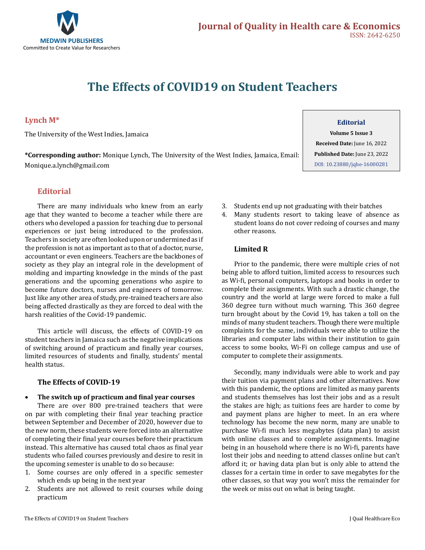

# **The Effects of COVID19 on Student Teachers**

# **Lynch M\***

The University of the West Indies, Jamaica

**\*Corresponding author:** Monique Lynch, The University of the West Indies, Jamaica, Email: Monique.a.lynch@gmail.com

## **Editorial**

There are many individuals who knew from an early age that they wanted to become a teacher while there are others who developed a passion for teaching due to personal experiences or just being introduced to the profession. Teachers in society are often looked upon or undermined as if the profession is not as important as to that of a doctor, nurse, accountant or even engineers. Teachers are the backbones of society as they play an integral role in the development of molding and imparting knowledge in the minds of the past generations and the upcoming generations who aspire to become future doctors, nurses and engineers of tomorrow. Just like any other area of study, pre-trained teachers are also being affected drastically as they are forced to deal with the harsh realities of the Covid-19 pandemic.

This article will discuss, the effects of COVID-19 on student teachers in Jamaica such as the negative implications of switching around of practicum and finally year courses, limited resources of students and finally, students' mental health status.

## **The Effects of COVID-19**

#### • **The switch up of practicum and final year courses**

There are over 800 pre-trained teachers that were on par with completing their final year teaching practice between September and December of 2020, however due to the new norm, these students were forced into an alternative of completing their final year courses before their practicum instead. This alternative has caused total chaos as final year students who failed courses previously and desire to resit in the upcoming semester is unable to do so because:

- 1. Some courses are only offered in a specific semester which ends up being in the next year
- 2. Students are not allowed to resit courses while doing practicum

# **Editorial**

**Volume 5 Issue 3 Received Date:** June 16, 2022 **Published Date:** June 23, 2022 [DOI: 10.23880/jqhe-16000281](https://doi.org/10.23880/jqhe-16000281)

- 3. Students end up not graduating with their batches
- 4. Many students resort to taking leave of absence as student loans do not cover redoing of courses and many other reasons.

## **Limited R**

Prior to the pandemic, there were multiple cries of not being able to afford tuition, limited access to resources such as Wi-fi, personal computers, laptops and books in order to complete their assignments. With such a drastic change, the country and the world at large were forced to make a full 360 degree turn without much warning. This 360 degree turn brought about by the Covid 19, has taken a toll on the minds of many student teachers. Though there were multiple complaints for the same, individuals were able to utilize the libraries and computer labs within their institution to gain access to some books, Wi-Fi on college campus and use of computer to complete their assignments.

Secondly, many individuals were able to work and pay their tuition via payment plans and other alternatives. Now with this pandemic, the options are limited as many parents and students themselves has lost their jobs and as a result the stakes are high; as tuitions fees are harder to come by and payment plans are higher to meet. In an era where technology has become the new norm, many are unable to purchase Wi-fi much less megabytes (data plan) to assist with online classes and to complete assignments. Imagine being in an household where there is no Wi-fi, parents have lost their jobs and needing to attend classes online but can't afford it; or having data plan but is only able to attend the classes for a certain time in order to save megabytes for the other classes, so that way you won't miss the remainder for the week or miss out on what is being taught.